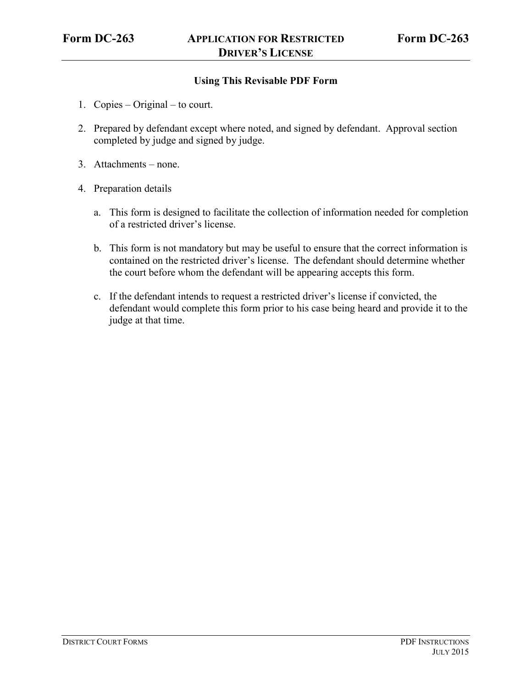# **Using This Revisable PDF Form**

- 1. Copies Original to court.
- 2. Prepared by defendant except where noted, and signed by defendant. Approval section completed by judge and signed by judge.
- 3. Attachments none.
- 4. Preparation details
	- a. This form is designed to facilitate the collection of information needed for completion of a restricted driver's license.
	- b. This form is not mandatory but may be useful to ensure that the correct information is contained on the restricted driver's license. The defendant should determine whether the court before whom the defendant will be appearing accepts this form.
	- c. If the defendant intends to request a restricted driver's license if convicted, the defendant would complete this form prior to his case being heard and provide it to the judge at that time.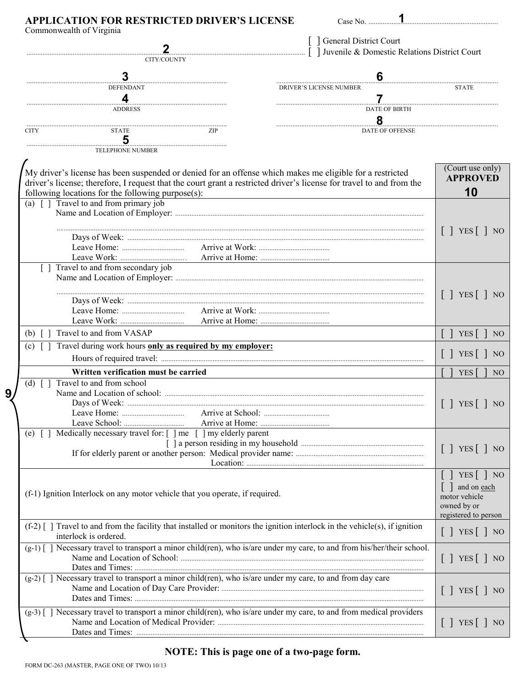|                                                                                                                                                     |                                                                   | <u>2</u>                                                                                                  | General District Court<br>  Juvenile & Domestic Relations District Court                                               |                                           |
|-----------------------------------------------------------------------------------------------------------------------------------------------------|-------------------------------------------------------------------|-----------------------------------------------------------------------------------------------------------|------------------------------------------------------------------------------------------------------------------------|-------------------------------------------|
|                                                                                                                                                     | CITY/COUNTY                                                       |                                                                                                           |                                                                                                                        |                                           |
|                                                                                                                                                     | 3                                                                 |                                                                                                           | 6                                                                                                                      |                                           |
|                                                                                                                                                     | <b>DEFENDANT</b>                                                  |                                                                                                           | <b>DRIVER'S LICENSE NUMBER</b>                                                                                         | <b>STATE</b>                              |
|                                                                                                                                                     | 4<br><b>ADDRESS</b>                                               |                                                                                                           | <b>DATE OF BIRTH</b>                                                                                                   |                                           |
|                                                                                                                                                     |                                                                   |                                                                                                           | 8                                                                                                                      |                                           |
| <b>CITY</b>                                                                                                                                         | <b>STATE</b>                                                      | ZIP                                                                                                       | <b>DATE OF OFFENSE</b>                                                                                                 |                                           |
|                                                                                                                                                     | 5                                                                 |                                                                                                           |                                                                                                                        |                                           |
|                                                                                                                                                     | <b>TELEPHONE NUMBER</b>                                           |                                                                                                           |                                                                                                                        |                                           |
|                                                                                                                                                     | following locations for the following purpose(s):                 | My driver's license has been suspended or denied for an offense which makes me eligible for a restricted  | driver's license; therefore, I request that the court grant a restricted driver's license for travel to and from the   | (Court use only)<br><b>APPROVED</b><br>10 |
|                                                                                                                                                     | (a) $\lceil \cdot \rceil$ Travel to and from primary job          |                                                                                                           |                                                                                                                        |                                           |
|                                                                                                                                                     |                                                                   |                                                                                                           |                                                                                                                        |                                           |
|                                                                                                                                                     |                                                                   |                                                                                                           |                                                                                                                        | $\lceil$   YES $\lceil$   NO              |
|                                                                                                                                                     |                                                                   |                                                                                                           |                                                                                                                        |                                           |
|                                                                                                                                                     |                                                                   |                                                                                                           |                                                                                                                        |                                           |
|                                                                                                                                                     | Travel to and from secondary job                                  |                                                                                                           |                                                                                                                        |                                           |
|                                                                                                                                                     |                                                                   |                                                                                                           |                                                                                                                        |                                           |
|                                                                                                                                                     |                                                                   |                                                                                                           |                                                                                                                        | $\lceil$   YES $\lceil$   NO              |
|                                                                                                                                                     |                                                                   |                                                                                                           |                                                                                                                        |                                           |
|                                                                                                                                                     |                                                                   |                                                                                                           |                                                                                                                        |                                           |
|                                                                                                                                                     | Travel to and from VASAP                                          |                                                                                                           |                                                                                                                        |                                           |
| (b)                                                                                                                                                 | Travel during work hours only as required by my employer:         |                                                                                                           |                                                                                                                        | $YES$ $\bigcap$ NO                        |
| (c)                                                                                                                                                 |                                                                   |                                                                                                           |                                                                                                                        | $[\ ]$ YES $[\ ]$ NO                      |
|                                                                                                                                                     |                                                                   |                                                                                                           |                                                                                                                        |                                           |
| (d)                                                                                                                                                 | Written verification must be carried<br>Travel to and from school |                                                                                                           |                                                                                                                        | <b>YES</b><br>NO <sub>1</sub>             |
|                                                                                                                                                     | Name and Location of school:                                      |                                                                                                           |                                                                                                                        | $[\ ]$ YES $[\ ]$ NO                      |
|                                                                                                                                                     |                                                                   |                                                                                                           |                                                                                                                        |                                           |
|                                                                                                                                                     |                                                                   |                                                                                                           |                                                                                                                        |                                           |
|                                                                                                                                                     | (e) [] Medically necessary travel for: [] me [] my elderly parent |                                                                                                           |                                                                                                                        |                                           |
|                                                                                                                                                     |                                                                   |                                                                                                           |                                                                                                                        | $\lceil$   YES $\lceil$   NO              |
|                                                                                                                                                     |                                                                   |                                                                                                           |                                                                                                                        |                                           |
|                                                                                                                                                     |                                                                   |                                                                                                           |                                                                                                                        | $[\ ]$ YES $[\ ]$ NO                      |
|                                                                                                                                                     |                                                                   |                                                                                                           |                                                                                                                        | and on each                               |
| (f-1) Ignition Interlock on any motor vehicle that you operate, if required.                                                                        |                                                                   |                                                                                                           | motor vehicle                                                                                                          |                                           |
|                                                                                                                                                     |                                                                   |                                                                                                           |                                                                                                                        | owned by or<br>registered to person       |
| $(f-2)$   Travel to and from the facility that installed or monitors the ignition interlock in the vehicle(s), if ignition<br>interlock is ordered. |                                                                   |                                                                                                           | $[\ ]$ YES $[\ ]$ NO                                                                                                   |                                           |
|                                                                                                                                                     |                                                                   |                                                                                                           | (g-1) [] Necessary travel to transport a minor child(ren), who is/are under my care, to and from his/her/their school. |                                           |
|                                                                                                                                                     |                                                                   |                                                                                                           |                                                                                                                        | $[\ ]$ YES $[\ ]$ NO                      |
|                                                                                                                                                     |                                                                   | (g-2) [] Necessary travel to transport a minor child(ren), who is/are under my care, to and from day care |                                                                                                                        |                                           |
|                                                                                                                                                     |                                                                   |                                                                                                           | $[\ ]$ YES $[\ ]$ NO                                                                                                   |                                           |
|                                                                                                                                                     |                                                                   |                                                                                                           |                                                                                                                        |                                           |
|                                                                                                                                                     |                                                                   |                                                                                                           | (g-3) [] Necessary travel to transport a minor child(ren), who is/are under my care, to and from medical providers     | YES  <br>NO                               |
|                                                                                                                                                     |                                                                   |                                                                                                           |                                                                                                                        |                                           |

# NOTE: This is page one of a two-page form.

 $9\overline{)}$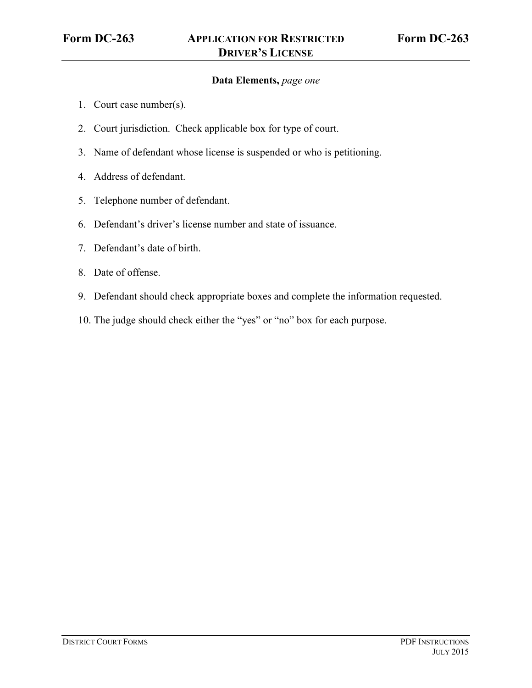### **Data Elements,** *page one*

- 1. Court case number(s).
- 2. Court jurisdiction. Check applicable box for type of court.
- 3. Name of defendant whose license is suspended or who is petitioning.
- 4. Address of defendant.
- 5. Telephone number of defendant.
- 6. Defendant's driver's license number and state of issuance.
- 7. Defendant's date of birth.
- 8. Date of offense.
- 9. Defendant should check appropriate boxes and complete the information requested.
- 10. The judge should check either the "yes" or "no" box for each purpose.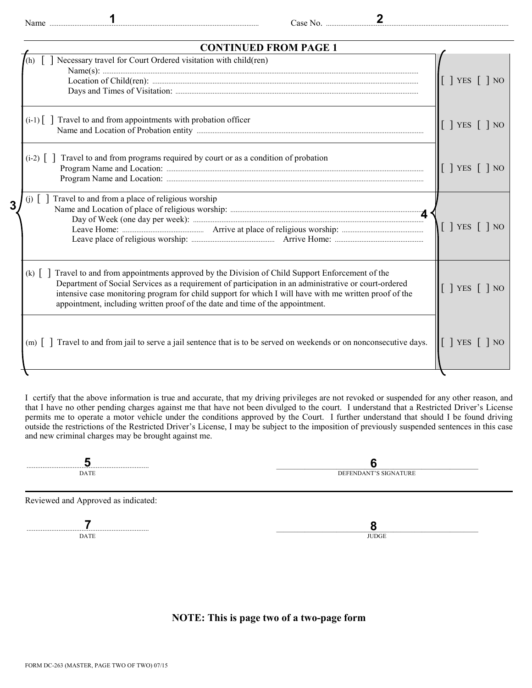| <b>CONTINUED FROM PAGE 1</b>                                                                                                                                                                                                                                                                                                                                                                                  |                                                                        |  |  |  |
|---------------------------------------------------------------------------------------------------------------------------------------------------------------------------------------------------------------------------------------------------------------------------------------------------------------------------------------------------------------------------------------------------------------|------------------------------------------------------------------------|--|--|--|
| Necessary travel for Court Ordered visitation with child(ren)                                                                                                                                                                                                                                                                                                                                                 | $\lceil$   YES $\lceil$   NO                                           |  |  |  |
| $(i-1)$ Travel to and from appointments with probation officer                                                                                                                                                                                                                                                                                                                                                | $\lceil$   YES $\lceil$   NO                                           |  |  |  |
| $(i-2)$ [] Travel to and from programs required by court or as a condition of probation                                                                                                                                                                                                                                                                                                                       | $\begin{bmatrix} \end{bmatrix}$ YES $\begin{bmatrix} \end{bmatrix}$ NO |  |  |  |
| Travel to and from a place of religious worship<br>$(i)$                                                                                                                                                                                                                                                                                                                                                      | $\lceil$   YES $\lceil$   NO                                           |  |  |  |
| (k) $\lceil$ Travel to and from appointments approved by the Division of Child Support Enforcement of the<br>Department of Social Services as a requirement of participation in an administrative or court-ordered<br>intensive case monitoring program for child support for which I will have with me written proof of the<br>appointment, including written proof of the date and time of the appointment. | $\lceil$   YES $\lceil$   NO                                           |  |  |  |
| (m)   Travel to and from jail to serve a jail sentence that is to be served on weekends or on nonconsecutive days.                                                                                                                                                                                                                                                                                            | $\begin{bmatrix} \end{bmatrix}$ YES $\begin{bmatrix} \end{bmatrix}$ NO |  |  |  |
|                                                                                                                                                                                                                                                                                                                                                                                                               |                                                                        |  |  |  |

I certify that the above information is true and accurate, that my driving privileges are not revoked or suspended for any other reason, and that I have no other pending charges against me that have not been divulged to the court. I understand that a Restricted Driver's License permits me to operate a motor vehicle under the conditions approved by the Court. I further understand that should I be found driving outside the restrictions of the Restricted Driver's License, I may be subject to the imposition of previously suspended sentences in this case and new criminal charges may be brought against me.

| <b>CONTRACTOR</b> |  |  |
|-------------------|--|--|

Reviewed and Approved as indicated:

..................................................................... \_\_\_\_\_\_\_\_\_\_\_\_\_\_\_\_\_\_\_\_\_\_\_\_\_\_\_\_\_\_\_\_\_\_\_\_\_\_\_\_\_\_\_\_\_\_\_\_\_\_\_\_\_\_\_\_\_ **DATE** JUDGE **7 8**

**NOTE: This is page two of a two-page form**